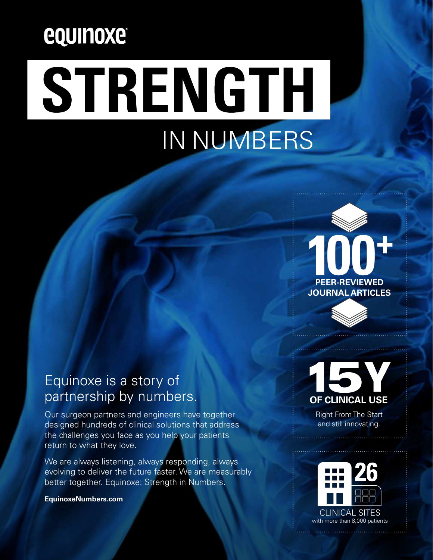# equinoxe

# STRENGTH IN NUMBERS



## Equinoxe is a story of partnership by numbers.

Our surgeon partners and engineers have together designed hundreds of clinical solutions that address the challenges you face as you help your patients return to what they love.

We are always listening, always responding, always evolving to deliver the future faster. We are measurably better together. Equinoxe: Strength in Numbers.

**EquinoxeNumbers.com**



Right From The Start and still innovating.

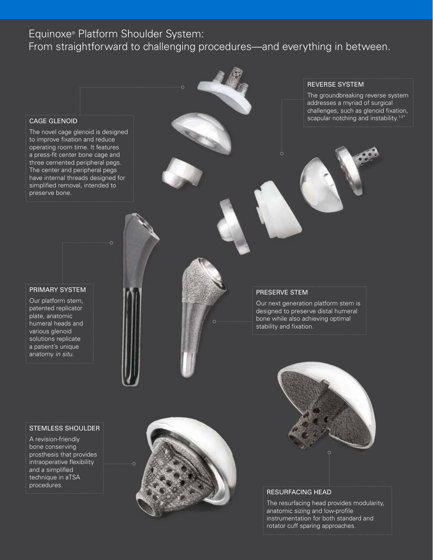### Equinoxe® Platform Shoulder System:

From straightforward to challenging procedures—and everything in between.

#### CAGE GLENOID

The novel cage glenoid is designed to improve fixation and reduce operating room time. It features a press-fit center bone cage and three cemented peripheral pegs. The center and peripheral pegs have internal threads designed for simplified removal, intended to preserve bone.

#### REVERSE SYSTEM

The groundbreaking reverse system addresses a myriad of surgical challenges, such as glenoid fixation, scapular notching and instability.<sup>1-3</sup>

#### PRIMARY SYSTEM

Our platform stem, patented replicator plate, anatomic humeral heads and various glenoid solutions replicate a patient's unique anatomy *in situ*.

STEMLESS SHOULDER

A revision-friendly bone conserving prosthesis that provides intraoperative flexibility and a simplified technique in aTSA procedures.



#### PRESERVE STEM

Our next generation platform stem is designed to preserve distal humeral bone while also achieving optimal stability and fixation.



#### RESURFACING HEAD

The resurfacing head provides modularity, anatomic sizing and low-profile instrumentation for both standard and rotator cuff sparing approaches.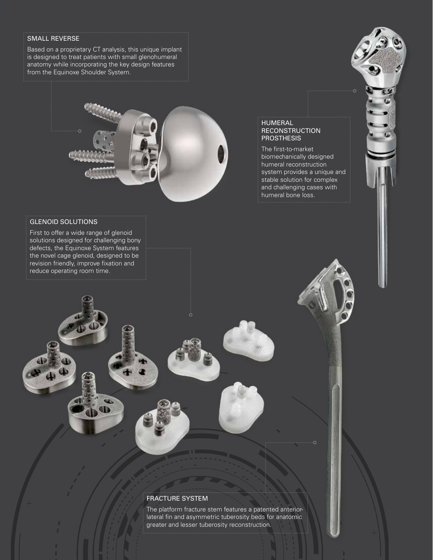#### SMALL REVERSE

Based on a proprietary CT analysis, this unique implant is designed to treat patients with small glenohumeral anatomy while incorporating the key design features from the Equinoxe Shoulder System.



#### GLENOID SOLUTIONS

First to offer a wide range of glenoid solutions designed for challenging bony defects, the Equinoxe System features the novel cage glenoid, designed to be revision friendly, improve fixation and reduce operating room time.

#### HUMERAL RECONSTRUCTION **PROSTHESIS**

The first-to-market biomechanically designed humeral reconstruction system provides a unique and stable solution for complex and challenging cases with humeral bone loss.

#### FRACTURE SYSTEM

The platform fracture stem features a patented anteriorlateral fin and asymmetric tuberosity beds for anatomic greater and lesser tuberosity reconstruction.